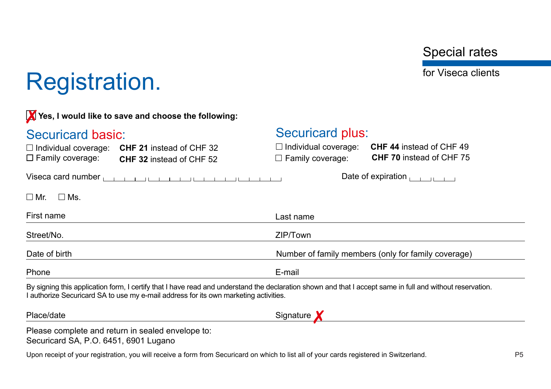Special rates

for Viseca clients

## Registration.

| Yes, I would like to save and choose the following:                                                                                                                                                                                               |                                                                                                                              |  |  |
|---------------------------------------------------------------------------------------------------------------------------------------------------------------------------------------------------------------------------------------------------|------------------------------------------------------------------------------------------------------------------------------|--|--|
| Securicard basic:                                                                                                                                                                                                                                 | <b>Securicard plus:</b>                                                                                                      |  |  |
| $\Box$ Individual coverage:<br><b>CHF 21</b> instead of CHF 32<br>$\Box$ Family coverage:<br><b>CHF 32</b> instead of CHF 52                                                                                                                      | $\Box$ Individual coverage:<br><b>CHF 44</b> instead of CHF 49<br><b>CHF 70</b> instead of CHF 75<br>$\Box$ Family coverage: |  |  |
| Viseca card number $\frac{1}{1}$ $\frac{1}{1}$ $\frac{1}{1}$ $\frac{1}{1}$ $\frac{1}{1}$ $\frac{1}{1}$ $\frac{1}{1}$ $\frac{1}{1}$ $\frac{1}{1}$ $\frac{1}{1}$ $\frac{1}{1}$                                                                      |                                                                                                                              |  |  |
| $\Box$ Ms.<br>$\square$ Mr.                                                                                                                                                                                                                       |                                                                                                                              |  |  |
| First name                                                                                                                                                                                                                                        | Last name                                                                                                                    |  |  |
| Street/No.                                                                                                                                                                                                                                        | ZIP/Town                                                                                                                     |  |  |
| Date of birth                                                                                                                                                                                                                                     | Number of family members (only for family coverage)                                                                          |  |  |
| Phone                                                                                                                                                                                                                                             | E-mail                                                                                                                       |  |  |
| By signing this application form, I certify that I have read and understand the declaration shown and that I accept same in full and without reservation.<br>I authorize Securicard SA to use my e-mail address for its own marketing activities. |                                                                                                                              |  |  |
| Place/date                                                                                                                                                                                                                                        | Signature                                                                                                                    |  |  |
| Please complete and return in sealed envelope to:<br>Securicard SA, P.O. 6451, 6901 Lugano                                                                                                                                                        |                                                                                                                              |  |  |

Upon receipt of your registration, you will receive a form from Securicard on which to list all of your cards registered in Switzerland. P4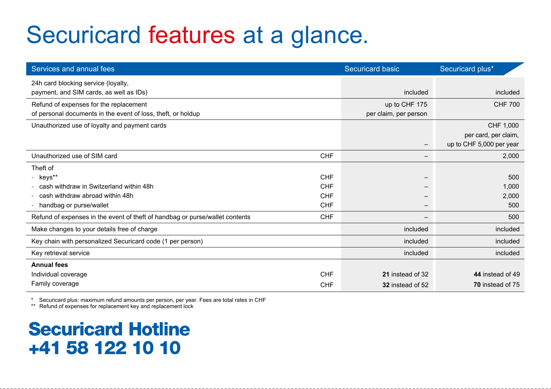# Securicard features at a glance.

| Services and annual fees                                                     |            | Securicard basic      | Securicard plus*         |
|------------------------------------------------------------------------------|------------|-----------------------|--------------------------|
| 24h card blocking service (loyalty,                                          |            |                       |                          |
| payment, and SIM cards, as well as IDs)                                      |            | included              | included                 |
| Refund of expenses for the replacement                                       |            | up to CHF 175         | <b>CHF 700</b>           |
| of personal documents in the event of loss, theft, or holdup                 |            | per claim, per person |                          |
| Unauthorized use of loyalty and payment cards                                |            |                       | CHF 1,000                |
|                                                                              |            |                       | per card, per claim,     |
|                                                                              |            |                       | up to CHF 5,000 per year |
| Unauthorized use of SIM card                                                 | <b>CHF</b> |                       | 2,000                    |
| Theft of                                                                     |            |                       |                          |
| - keys**                                                                     | CHF        |                       | 500                      |
| - cash withdraw in Switzerland within 48h                                    | CHF        |                       | 1,000                    |
| cash withdraw abroad within 48h                                              | CHF        |                       | 2,000                    |
| - handbag or purse/wallet                                                    | <b>CHF</b> |                       | 500                      |
| Refund of expenses in the event of theft of handbag or purse/wallet contents | <b>CHF</b> | -                     | 500                      |
| Make changes to your details free of charge                                  |            | included              | included                 |
| Key chain with personalized Securicard code (1 per person)                   |            | included              | included                 |
| Key retrieval service                                                        |            | included              | included                 |
| <b>Annual fees</b>                                                           |            |                       |                          |
| Individual coverage                                                          | <b>CHF</b> | 21 instead of 32      | 44 instead of 49         |
| Family coverage                                                              | CHF        | 32 instead of 52      | 70 instead of 75         |

\* Securicard plus: maximum refund amounts per person, per year. Fees are total rates in CHF

\*\* Refund of expenses for replacement key and replacement lock

## **Securicard Hotline** +41 58 122 10 10